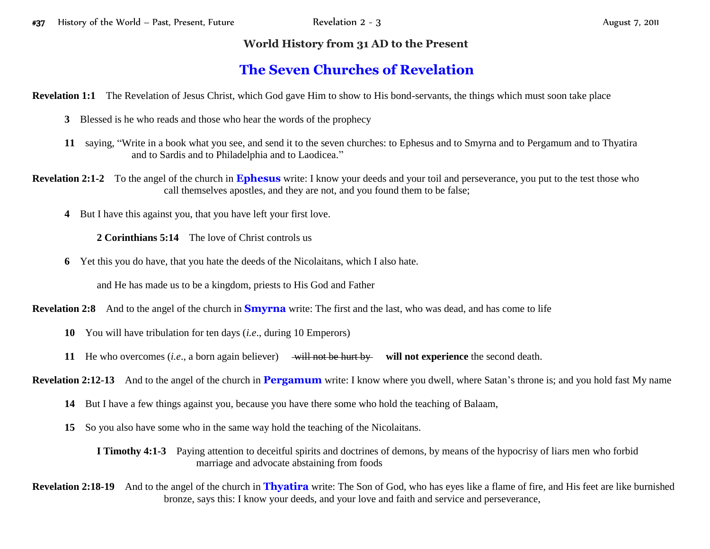## **World History from 31 AD to the Present**

## **The Seven Churches of Revelation**

**Revelation 1:1** The Revelation of Jesus Christ, which God gave Him to show to His bond-servants, the things which must soon take place

- **3** Blessed is he who reads and those who hear the words of the prophecy
- **11** saying, "Write in a book what you see, and send it to the seven churches: to Ephesus and to Smyrna and to Pergamum and to Thyatira and to Sardis and to Philadelphia and to Laodicea."
- **Revelation 2:1-2** To the angel of the church in **Ephesus** write: I know your deeds and your toil and perseverance, you put to the test those who call themselves apostles, and they are not, and you found them to be false;
	- **4** But I have this against you, that you have left your first love.

**2 Corinthians 5:14** The love of Christ controls us

**6** Yet this you do have, that you hate the deeds of the Nicolaitans, which I also hate.

and He has made us to be a kingdom, priests to His God and Father

**Revelation 2:8** And to the angel of the church in **Smyrna** write: The first and the last, who was dead, and has come to life

- **10** You will have tribulation for ten days (*i.e*., during 10 Emperors)
- **11** He who overcomes (*i.e.*, a born again believer) will not be hurt by will not experience the second death.

**Revelation 2:12-13** And to the angel of the church in **Pergamum** write: I know where you dwell, where Satan's throne is; and you hold fast My name

- **14** But I have a few things against you, because you have there some who hold the teaching of Balaam,
- **15** So you also have some who in the same way hold the teaching of the Nicolaitans.

**I Timothy 4:1-3** Paying attention to deceitful spirits and doctrines of demons, by means of the hypocrisy of liars men who forbid marriage and advocate abstaining from foods

**Revelation 2:18-19** And to the angel of the church in **Thyatira** write: The Son of God, who has eyes like a flame of fire, and His feet are like burnished bronze, says this: I know your deeds, and your love and faith and service and perseverance,